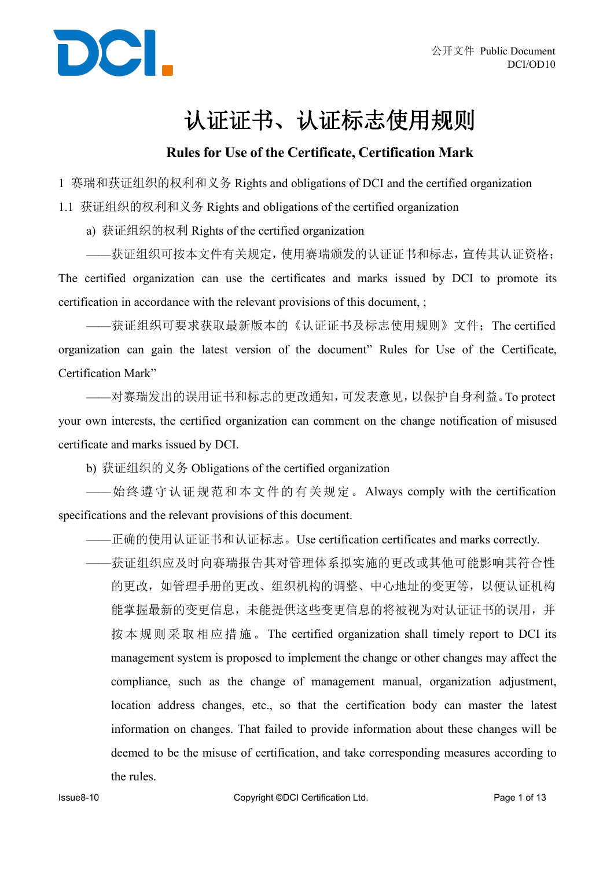

## 认证证书、认证标志使用规则

#### **Rules for Use of the Certificate, Certification Mark**

1 赛瑞和获证组织的权利和义务 Rights and obligations of DCI and the certified organization

1.1 获证组织的权利和义务 Rights and obligations of the certified organization

a) 获证组织的权利 Rights of the certified organization

——获证组织可按本文件有关规定,使用赛瑞颁发的认证证书和标志,宣传其认证资格; The certified organization can use the certificates and marks issued by DCI to promote its certification in accordance with the relevant provisions of this document, ;

——获证组织可要求获取最新版本的《认证证书及标志使用规则》文件;The certified organization can gain the latest version of the document" Rules for Use of the Certificate, Certification Mark"

——对赛瑞发出的误用证书和标志的更改通知,可发表意见,以保护自身利益。To protect your own interests, the certified organization can comment on the change notification of misused certificate and marks issued by DCI.

b) 获证组织的义务 Obligations of the certified organization

——始终遵守认证规范和本文件的有关规定。Always comply with the certification specifications and the relevant provisions of this document.

- ——正确的使用认证证书和认证标志。Use certification certificates and marks correctly.
- ——获证组织应及时向赛瑞报告其对管理体系拟实施的更改或其他可能影响其符合性 的更改,如管理手册的更改、组织机构的调整、中心地址的变更等,以便认证机构 能掌握最新的变更信息,未能提供这些变更信息的将被视为对认证证书的误用,并 按本规则采取相应措施。The certified organization shall timely report to DCI its management system is proposed to implement the change or other changes may affect the compliance, such as the change of management manual, organization adjustment, location address changes, etc., so that the certification body can master the latest information on changes. That failed to provide information about these changes will be deemed to be the misuse of certification, and take corresponding measures according to the rules.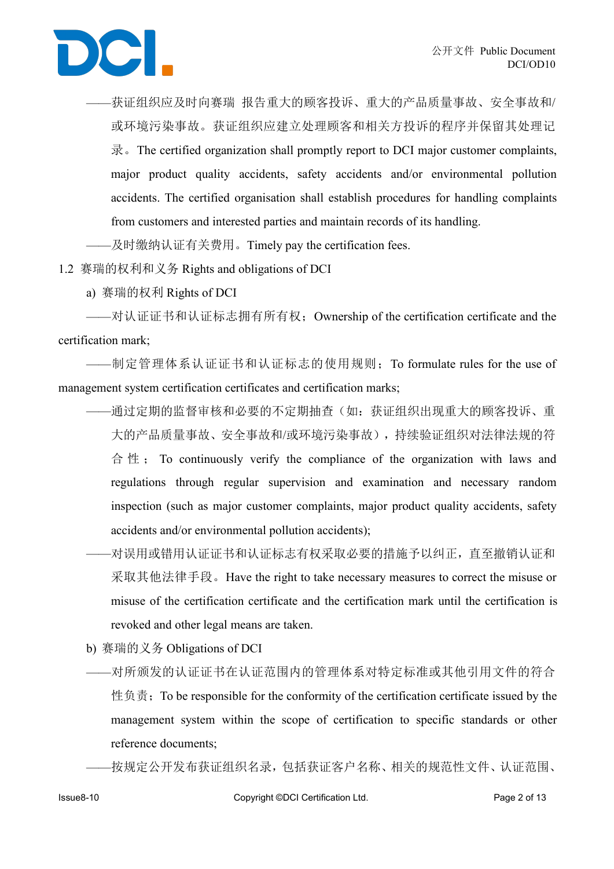——获证组织应及时向赛瑞 报告重大的顾客投诉、重大的产品质量事故、安全事故和/ 或环境污染事故。获证组织应建立处理顾客和相关方投诉的程序并保留其处理记 录。The certified organization shall promptly report to DCI major customer complaints, major product quality accidents, safety accidents and/or environmental pollution accidents. The certified organisation shall establish procedures for handling complaints from customers and interested parties and maintain records of its handling.

——及时缴纳认证有关费用。Timely pay the certification fees.

1.2 赛瑞的权利和义务 Rights and obligations of DCI

a) 赛瑞的权利 Rights ofDCI

——对认证证书和认证标志拥有所有权;Ownership of the certification certificate and the certification mark;

——制定管理体系认证证书和认证标志的使用规则;To formulate rules for the use of management system certification certificates and certification marks;

- ——通过定期的监督审核和必要的不定期抽查(如:获证组织出现重大的顾客投诉、重 大的产品质量事故、安全事故和/或环境污染事故),持续验证组织对法律法规的符 合 性 ; To continuously verify the compliance of the organization with laws and regulations through regular supervision and examination and necessary random inspection (such as major customer complaints, major product quality accidents, safety accidents and/or environmental pollution accidents);
- ——对误用或错用认证证书和认证标志有权采取必要的措施予以纠正,直至撤销认证和 采取其他法律手段。Have the right to take necessary measures to correct the misuse or misuse of the certification certificate and the certification mark until the certification is revoked and other legal means are taken.
- b) 赛瑞的义务 Obligations of DCI
- ——对所颁发的认证证书在认证范围内的管理体系对特定标准或其他引用文件的符合 性负责; To be responsible for the conformity of the certification certificate issued by the management system within the scope of certification to specific standards or other reference documents;

——按规定公开发布获证组织名录,包括获证客户名称、相关的规范性文件、认证范围、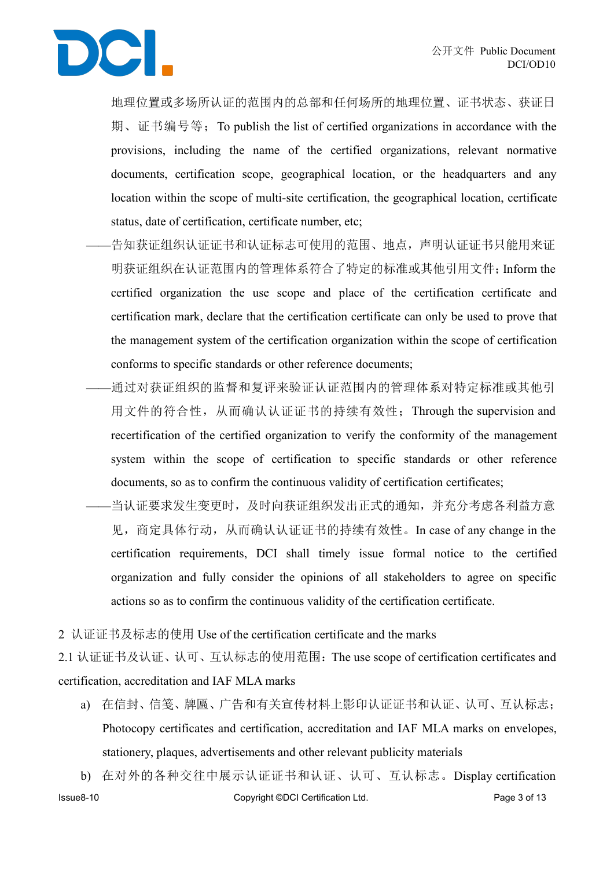

地理位置或多场所认证的范围内的总部和任何场所的地理位置、证书状态、获证日 期、证书编号等;To publish the list of certified organizations in accordance with the provisions, including the name of the certified organizations, relevant normative documents, certification scope, geographical location, or the headquarters and any location within the scope of multi-site certification, the geographical location, certificate status, date of certification, certificate number, etc;

- ——告知获证组织认证证书和认证标志可使用的范围、地点,声明认证证书只能用来证 明获证组织在认证范围内的管理体系符合了特定的标准或其他引用文件;Inform the certified organization the use scope and place of the certification certificate and certification mark, declare that the certification certificate can only be used to prove that the management system of the certification organization within the scope of certification conforms to specific standards or other reference documents;
	- ——通过对获证组织的监督和复评来验证认证范围内的管理体系对特定标准或其他引 用文件的符合性,从而确认认证证书的持续有效性;Through the supervision and recertification of the certified organization to verify the conformity of the management system within the scope of certification to specific standards or other reference documents, so as to confirm the continuous validity of certification certificates;
- -当认证要求发生变更时,及时向获证组织发出正式的通知,并充分考虑各利益方意 见,商定具体行动,从而确认认证证书的持续有效性。In case of any change in the certification requirements, DCI shall timely issue formal notice to the certified organization and fully consider the opinions of all stakeholders to agree on specific actions so as to confirm the continuous validity of the certification certificate.
- 2 认证证书及标志的使用 Use of the certification certificate and the marks

2.1 认证证书及认证、认可、互认标志的使用范围:The use scope of certification certificates and certification, accreditation and IAF MLA marks

a) 在信封、信笺、牌匾、广告和有关宣传材料上影印认证证书和认证、认可、互认标志; Photocopy certificates and certification, accreditation and IAF MLA marks on envelopes, stationery, plaques, advertisements and other relevant publicity materials

Issue8-10 Copyright ©DCI Certification Ltd. Page 3 of 13 b) 在对外的各种交往中展示认证证书和认证、认可、互认标志。Display certification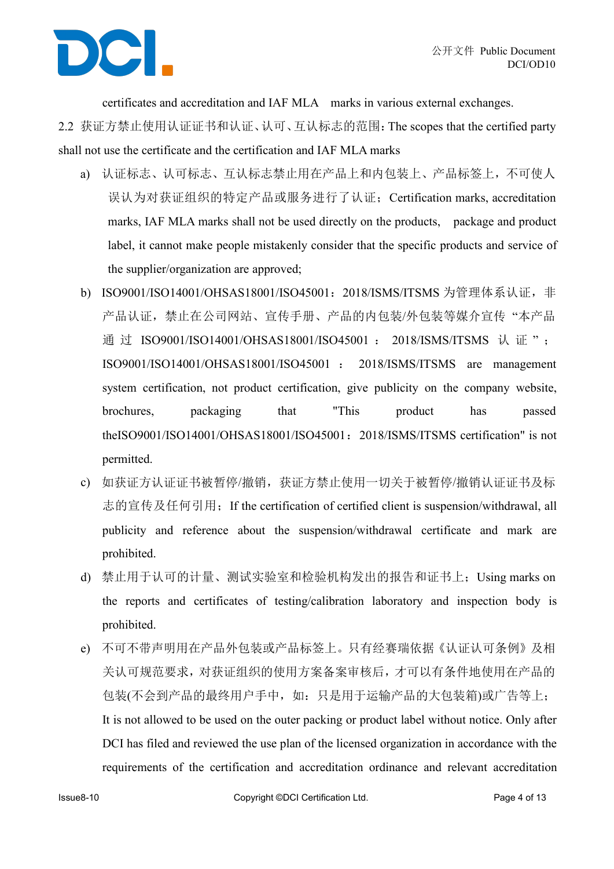

certificates and accreditation and IAF MLA marks in various external exchanges.

2.2 获证方禁止使用认证证书和认证、认可、互认标志的范围:The scopes that the certified party shall not use the certificate and the certification and IAF MLA marks

- a) 认证标志、认可标志、互认标志禁止用在产品上和内包装上、产品标签上,不可使人 误认为对获证组织的特定产品或服务进行了认证;Certification marks, accreditation marks, IAF MLA marks shall not be used directly on the products, package and product label, it cannot make people mistakenly consider that the specific products and service of the supplier/organization are approved;
- b) ISO9001/ISO14001/OHSAS18001/ISO45001: 2018/ISMS/ITSMS 为管理体系认证, 非 产品认证,禁止在公司网站、宣传手册、产品的内包装/外包装等媒介宣传 "本产品 通过 ISO9001/ISO14001/OHSAS18001/ISO45001: 2018/ISMS/ITSMS 认证": ISO9001/ISO14001/OHSAS18001/ISO45001 : 2018/ISMS/ITSMS aremanagement system certification, not product certification, give publicity on the company website, brochures, packaging that "This product has passed theISO9001/ISO14001/OHSAS18001/ISO45001:2018/ISMS/ITSMS certification" is not permitted.
- c) 如获证方认证证书被暂停/撤销,获证方禁止使用一切关于被暂停/撤销认证证书及标 志的宣传及任何引用; If the certification of certified client is suspension/withdrawal, all publicity and reference about the suspension/withdrawal certificate and mark are prohibited.
- d) 禁止用于认可的计量、测试实验室和检验机构发出的报告和证书上;Using marks on the reports and certificates of testing/calibration laboratory and inspection body is prohibited.
- e) 不可不带声明用在产品外包装或产品标签上。只有经赛瑞依据《认证认可条例》及相 关认可规范要求,对获证组织的使用方案备案审核后,才可以有条件地使用在产品的 包装(不会到产品的最终用户手中,如:只是用于运输产品的大包装箱)或广告等上; It is not allowed to be used on the outer packing or product label without notice. Only after DCI has filed and reviewed the use plan of the licensed organization in accordance with the requirements of the certification and accreditation ordinance and relevant accreditation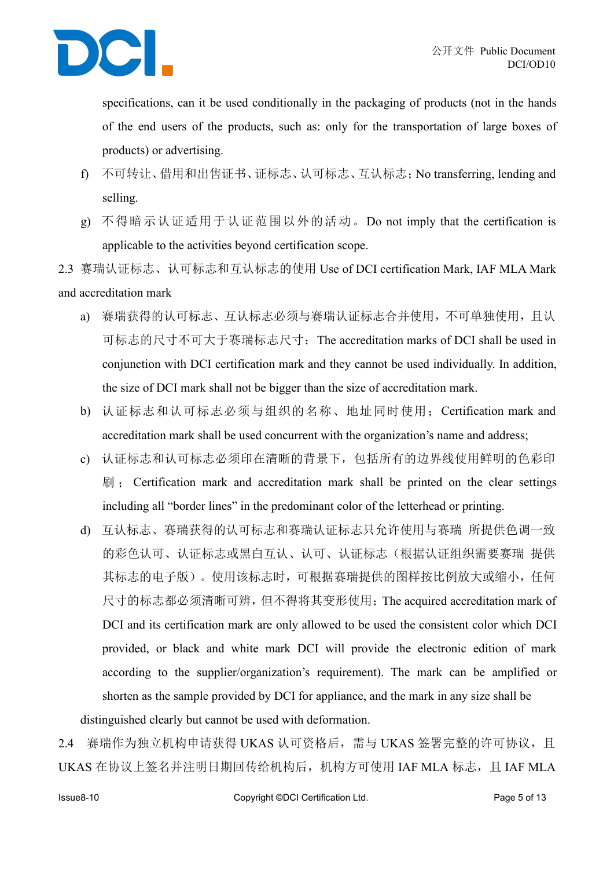

specifications, can it be used conditionally in the packaging of products (not in the hands of the end users of the products, such as: only for the transportation of large boxes of products) or advertising.

- f) 不可转让、借用和出售证书、证标志、认可标志、互认标志;No transferring, lending and selling.
- g) 不得暗示认证适用于认证范围以外的活动。Do not imply that the certification is applicable to the activities beyond certification scope.
- 2.3 赛瑞认证标志、认可标志和互认标志的使用 Use of DCI certification Mark, IAF MLA Mark and accreditation mark
	- a) 赛瑞获得的认可标志、互认标志必须与赛瑞认证标志合并使用,不可单独使用,且认 可标志的尺寸不可大于赛瑞标志尺寸;The accreditation marks ofDCI shall be used in conjunction with DCI certification mark and they cannot be used individually. In addition, the size of DCI mark shall not be bigger than the size of accreditation mark.
	- b) 认证标志和认可标志必须与组织的名称、地址同时使用;Certification mark and accreditation mark shall be used concurrent with the organization's name and address;
	- c) 认证标志和认可标志必须印在清晰的背景下,包括所有的边界线使用鲜明的色彩印 刷 ; Certification mark and accreditation mark shall be printed on the clear settings including all "border lines" in the predominant color of the letterhead or printing.<br>d) 互认标志、赛瑞获得的认可标志和赛瑞认证标志只允许使用与赛瑞 所提供色调一致
	- 的彩色认可、认证标志或黑白互认、认可、认证标志(根据认证组织需要赛瑞 提供 其标志的电子版)。使用该标志时,可根据赛瑞提供的图样按比例放大或缩小,任何 尺寸的标志都必须清晰可辨,但不得将其变形使用;The acquired accreditation mark of DCI and its certification mark are only allowed to be used the consistent color which DCI provided, or black and white mark DCI will provide the electronic edition of mark according to the supplier/organization's requirement). The mark can be amplified or shorten as the sample provided by DCI for appliance, and the mark in any size shall be distinguished clearly but cannot be used with deformation.

2.4 赛瑞作为独立机构申请获得 UKAS 认可资格后, 需与 UKAS 签署完整的许可协议, 且 UKAS 在协议上签名并注明日期回传给机构后, 机构方可使用 IAF MLA 标志, 且 IAF MLA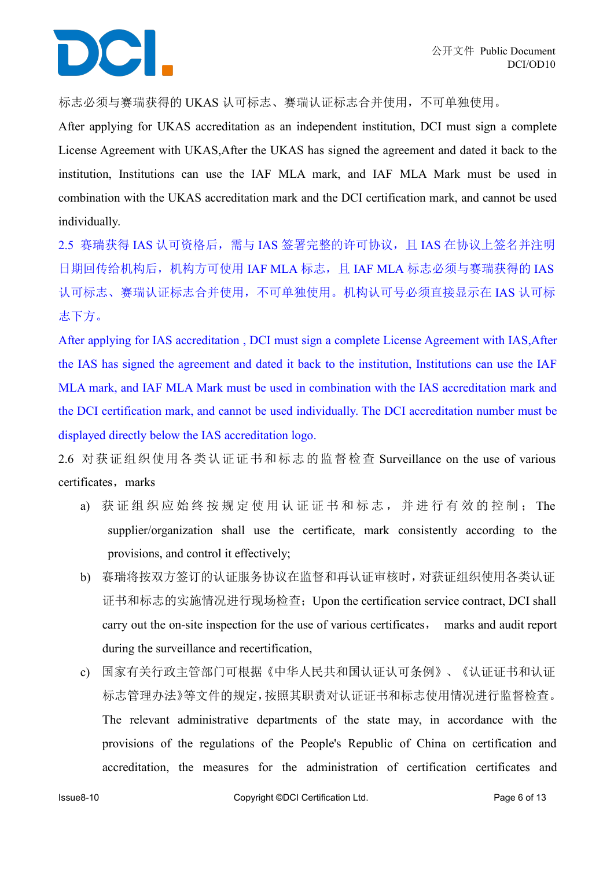# DCI.

标志必须与赛瑞获得的 UKAS 认可标志、赛瑞认证标志合并使用,不可单独使用。

After applying for UKAS accreditation as an independent institution, DCI must sign a complete License Agreement with UKAS,After the UKAS has signed the agreement and dated it back to the institution, Institutions can use the IAF MLA mark, and IAF MLA Mark must be used in combination with the UKAS accreditation mark and the DCI certification mark, and cannot be used individually.

2.5 赛瑞获得 IAS 认可资格后, 需与 IAS 签署完整的许可协议, 且 IAS 在协议上签名并注明 日期回传给机构后,机构方可使用 IAF MLA 标志,且 IAF MLA 标志必须与赛瑞获得的 IAS 认可标志、赛瑞认证标志合并使用,不可单独使用。机构认可号必须直接显示在 IAS 认可标 志下方。

After applying for IAS accreditation , DCI must sign a complete License Agreement with IAS,After the IAS has signed the agreement and dated it back to the institution, Institutions can use the IAF MLA mark, and IAF MLA Mark must be used in combination with the IAS accreditation mark and the DCI certification mark, and cannot be used individually. The DCI accreditation number must be displayed directly below the IAS accreditation logo.

2.6 对获证组织使用各类认证证书和标志的监督检查 Surveillance on the use of various certificates, marks

- a) 获 证 组 织 应 始 终 按 规 定 使 用 认 证 证 书 和 标 志 , 并 进 行 有 效 的 控 制 ; The supplier/organization shall use the certificate, mark consistently according to the provisions, and control it effectively;
- b) 赛瑞将按双方签订的认证服务协议在监督和再认证审核时,对获证组织使用各类认证 证书和标志的实施情况进行现场检查;Upon the certification service contract, DCI shall carry out the on-site inspection for the use of various certificates, marks and audit report during the surveillance and recertification,
- c) 国家有关行政主管部门可根据《中华人民共和国认证认可条例》、《认证证书和认证 标志管理办法》等文件的规定,按照其职责对认证证书和标志使用情况进行监督检查。 The relevant administrative departments of the state may, in accordance with the provisions of the regulations of the People's Republic of China on certification and accreditation, the measures for the administration of certification certificates and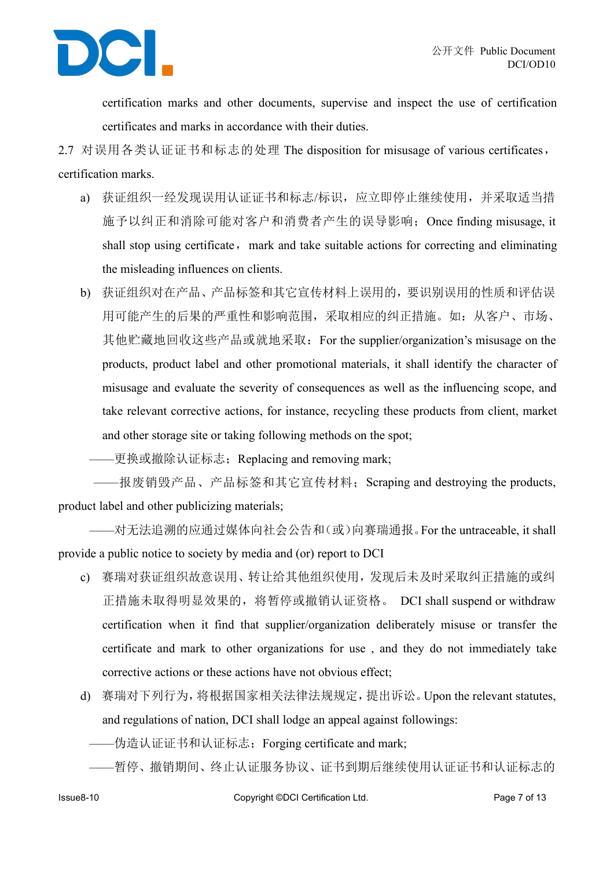

certification marks and other documents, supervise and inspect the use of certification certificates and marks in accordance with their duties.

2.7 对误用各类认证证书和标志的处理 The disposition for misusage of various certificates, certification marks.

- a) 获证组织一经发现误用认证证书和标志/标识,应立即停止继续使用,并采取适当措 施予以纠正和消除可能对客户和消费者产生的误导影响;Once finding misusage, it shall stop using certificate, mark and take suitable actions for correcting and eliminating the misleading influences on clients.
- b) 获证组织对在产品、产品标签和其它宣传材料上误用的,要识别误用的性质和评估误 用可能产生的后果的严重性和影响范围,采取相应的纠正措施。如:从客户、市场、 其他贮藏地回收这些产品或就地采取: For the supplier/organization's misusage on the products, product label and other promotional materials, it shall identify the character of misusage and evaluate the severity of consequences as well as the influencing scope, and take relevant corrective actions, for instance, recycling these products from client, market and other storage site or taking following methods on the spot;

**——更换或撤除认证标志; Replacing and removing mark;** 

——报废销毁产品、产品标签和其它宣传材料; Scraping and destroving the products, product label and other publicizing materials;

——对无法追溯的应通过媒体向社会公告和(或)向赛瑞通报。For the untraceable, it shall provide a public notice to society by media and (or) report to DCI

- c) 赛瑞对获证组织故意误用、转让给其他组织使用,发现后未及时采取纠正措施的或纠 正措施未取得明显效果的,将暂停或撤销认证资格。 DCI shall suspend or withdraw certification when it find that supplier/organization deliberately misuse or transfer the certificate and mark to other organizations for use , and they do not immediately take corrective actions or these actions have not obvious effect;
- d) 赛瑞对下列行为,将根据国家相关法律法规规定,提出诉讼。Upon the relevant statutes, and regulations of nation, DCI shall lodge an appeal against followings:
	- ——伪造认证证书和认证标志;Forging certificate and mark;
	- ——暂停、撤销期间、终止认证服务协议、证书到期后继续使用认证证书和认证标志的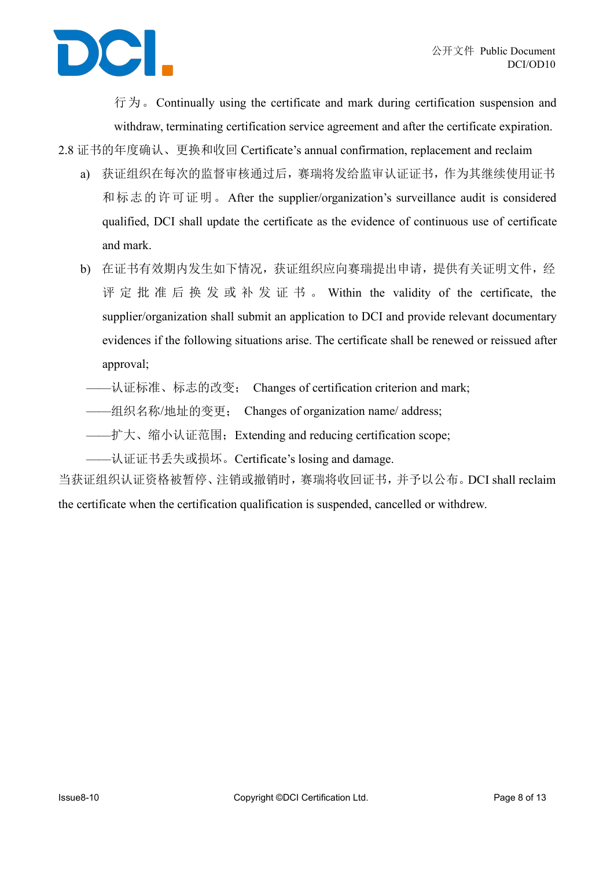

行为。Continually using the certificate and mark during certification suspension and withdraw, terminating certification service agreement and after the certificate expiration.

a) 获证组织在每次的监督审核通过后,赛瑞将发给监审认证证书,作为其继续使用证书 和标志的许可证明。After the supplier/organization's surveillance audit is considered qualified, DCI shall update the certificate as the evidence of continuous use of certificate and mark.

2.8 证书的年度确认、更换和收回 Certificate's annual confirmation, replacement and reclaim

- b) 在证书有效期内发生如下情况,获证组织应向赛瑞提出申请,提供有关证明文件,经 评 定 批 准 后 换 发 或 补 发 证 书 。 Within thevalidity of the certificate, the supplier/organization shall submit an application to DCI and provide relevant documentary evidences if the following situations arise. The certificate shall be renewed or reissued after approval;
	- ——认证标准、标志的改变; Changes of certification criterion and mark;<br>——组织名称/地址的变更; Changes of organization name/ address;
	-
- ——扩大、缩小认证范围; Extending and reducing certification scope;
- ——认证证书丢失或损坏。Certificate's losing and damage.

当获证组织认证资格被暂停、注销或撤销时,赛瑞将收回证书,并予以公布。DCI shall reclaim the certificate when the certification qualification is suspended, cancelled or withdrew.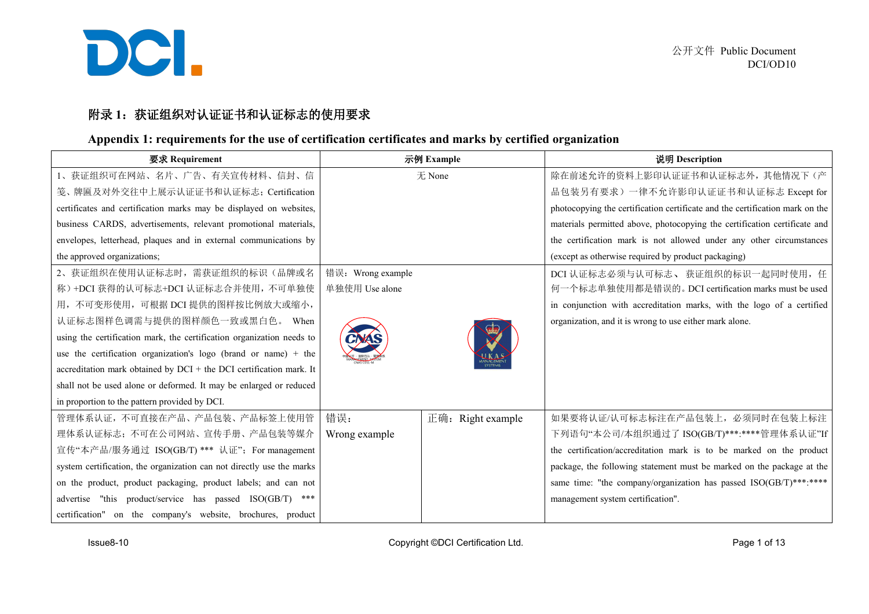

#### 附录 1: 获证组织对认证证书和认证标志的使用要求

#### **Appendix 1: requirements for the use of certification certificates and marks by certified organization**

| 要求 Requirement                                                        | 示例 Example                  | 说明 Description                                                               |
|-----------------------------------------------------------------------|-----------------------------|------------------------------------------------------------------------------|
| 1、获证组织可在网站、名片、广告、有关宣传材料、信封、信                                          | 无 None                      | 除在前述允许的资料上影印认证证书和认证标志外,其他情况下(产                                               |
| 笺、牌匾及对外交往中上展示认证证书和认证标志; Certification                                 |                             | 品包装另有要求)一律不允许影印认证证书和认证标志 Except for                                          |
| certificates and certification marks may be displayed on websites,    |                             | photocopying the certification certificate and the certification mark on the |
| business CARDS, advertisements, relevant promotional materials,       |                             | materials permitted above, photocopying the certification certificate and    |
| envelopes, letterhead, plaques and in external communications by      |                             | the certification mark is not allowed under any other circumstances          |
| the approved organizations;                                           |                             | (except as otherwise required by product packaging)                          |
| 2、获证组织在使用认证标志时,需获证组织的标识(品牌或名                                          | 错误: Wrong example           | DCI 认证标志必须与认可标志、获证组织的标识一起同时使用, 任                                             |
| 称)+DCI 获得的认可标志+DCI 认证标志合并使用, 不可单独使                                    | 单独使用 Use alone              | 何一个标志单独使用都是错误的。DCI certification marks must be used                          |
| 用,不可变形使用,可根据 DCI 提供的图样按比例放大或缩小,                                       |                             | in conjunction with accreditation marks, with the logo of a certified        |
| 认证标志图样色调需与提供的图样颜色一致或黑白色。 When                                         |                             | organization, and it is wrong to use either mark alone.                      |
| using the certification mark, the certification organization needs to |                             |                                                                              |
| use the certification organization's logo (brand or name) $+$ the     |                             |                                                                              |
| accreditation mark obtained by DCI + the DCI certification mark. It   |                             |                                                                              |
| shall not be used alone or deformed. It may be enlarged or reduced    |                             |                                                                              |
| in proportion to the pattern provided by DCI.                         |                             |                                                                              |
| 管理体系认证,不可直接在产品、产品包装、产品标签上使用管                                          | 错误:<br>正确:<br>Right example | 如果要将认证/认可标志标注在产品包装上, 必须同时在包装上标注                                              |
| 理体系认证标志; 不可在公司网站、宣传手册、产品包装等媒介                                         | Wrong example               | 下列语句"本公司/本组织通过了 ISO(GB/T)***:****管理体系认证"If                                   |
| 宣传"本产品/服务通过 ISO(GB/T) *** 认证"; For management                         |                             | the certification/accreditation mark is to be marked on the product          |
| system certification, the organization can not directly use the marks |                             | package, the following statement must be marked on the package at the        |
| on the product, product packaging, product labels; and can not        |                             | same time: "the company/organization has passed ISO(GB/T)***:****            |
| advertise "this product/service has passed ISO(GB/T) ***              |                             | management system certification".                                            |
| certification" on the company's website, brochures, product           |                             |                                                                              |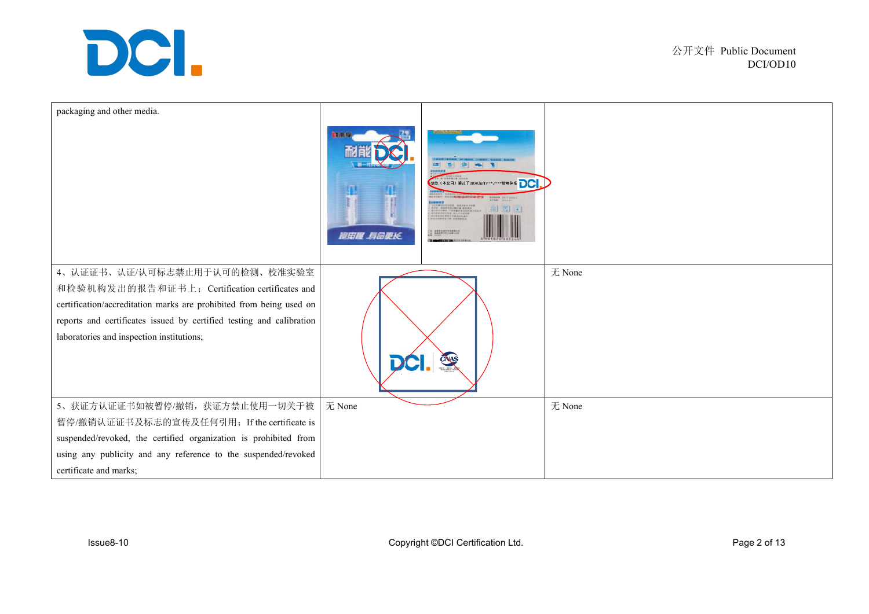

| packaging and other media.                                                                                                                                                                                                                                                  | 初期間<br>香 奥<br>$\frac{1}{2}$<br>THE R. P. LEWIS CO., LANSING MICH.<br><b>BUELL CAT LOW</b><br>INDICATOR ARMAYINA<br>IL ALEXANDE MENI<br>ILINE CHARLANDERILLA<br>ILINENE ALABAR<br>鱼图面<br><b>SALOKATION BOARS</b><br><b>MILLION</b><br>催田县 寿命更长<br><b>BARBARATAN DI DI DITA</b> |        |
|-----------------------------------------------------------------------------------------------------------------------------------------------------------------------------------------------------------------------------------------------------------------------------|-------------------------------------------------------------------------------------------------------------------------------------------------------------------------------------------------------------------------------------------------------------------------------|--------|
| 4、认证证书、认证/认可标志禁止用于认可的检测、校准实验室<br>和检验机构发出的报告和证书上; Certification certificates and<br>certification/accreditation marks are prohibited from being used on<br>reports and certificates issued by certified testing and calibration<br>laboratories and inspection institutions; | CNAS                                                                                                                                                                                                                                                                          | 无 None |
| 5、获证方认证证书如被暂停/撤销,获证方禁止使用一切关于被<br>暂停/撤销认证证书及标志的宣传及任何引用; If the certificate is<br>suspended/revoked, the certified organization is prohibited from<br>using any publicity and any reference to the suspended/revoked<br>certificate and marks;                                | 无 None                                                                                                                                                                                                                                                                        | 无 None |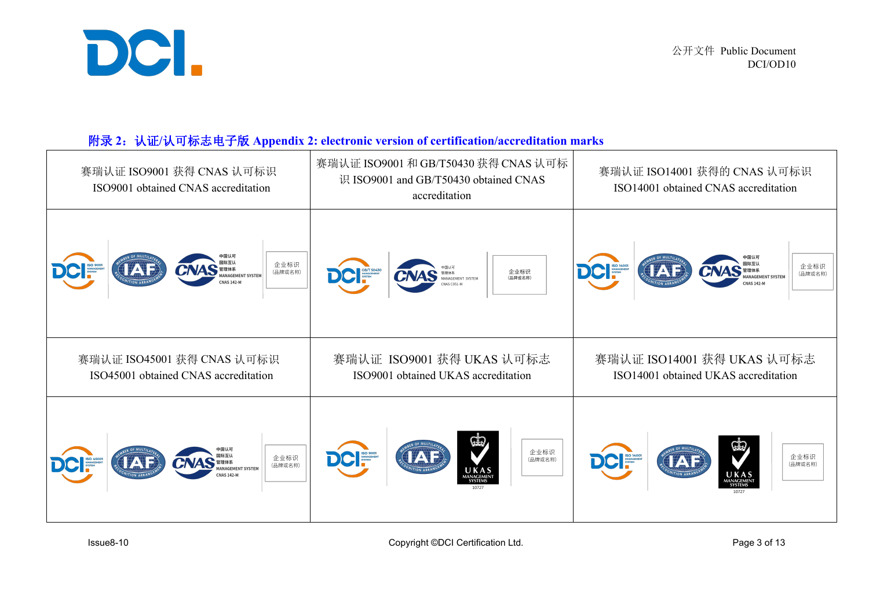

### 附录 **2**:认证**/**认可标志电子版 **Appendix 2: electronic version of certification/accreditation marks**

| 赛瑞认证 ISO9001 获得 CNAS 认可标识<br>ISO9001 obtained CNAS accreditation                                                                       | 赛瑞认证 ISO9001 和 GB/T50430 获得 CNAS 认可标<br>识 ISO9001 and GB/T50430 obtained CNAS<br>accreditation | 赛瑞认证 ISO14001 获得的 CNAS 认可标识<br>ISO14001 obtained CNAS accreditation                          |  |
|----------------------------------------------------------------------------------------------------------------------------------------|------------------------------------------------------------------------------------------------|----------------------------------------------------------------------------------------------|--|
| <b>CNAS</b> WERE AND NANAGEMENT SYSTEM<br>企业标识<br><b>IAD</b><br>(品牌或名称)                                                                | DC SE/T SO430<br>企业标识<br>(品牌或名称)<br><b>CNAS</b> MANAGEMENT SYSTEM                              | <b>CNAS WHEAT SYSTEM</b><br>企业标识<br><b>AD</b><br>(品牌或名称)                                     |  |
| 赛瑞认证 ISO45001 获得 CNAS 认可标识<br>赛瑞认证 ISO9001 获得 UKAS 认可标志<br>ISO45001 obtained CNAS accreditation<br>ISO9001 obtained UKAS accreditation |                                                                                                | 赛瑞认证 ISO14001 获得 UKAS 认可标志<br>ISO14001 obtained UKAS accreditation                           |  |
| <b>CNAS THE AND STREAM</b><br>企业标识<br>(品牌或名称)                                                                                          | SS <sub>1</sub><br>企业标识<br>DCI SO SOON<br>IAF<br>(品牌或名称)<br>UKAS                               | 企业标识<br><b>DCI</b><br><b>IAE</b><br>(品牌或名称)<br>$\underset{\text{MANAGEMENT}}{\text{U K AS}}$ |  |

Issue8-10 Copyright ©DCI Certification Ltd. Copyright ©DCI Certification Ltd.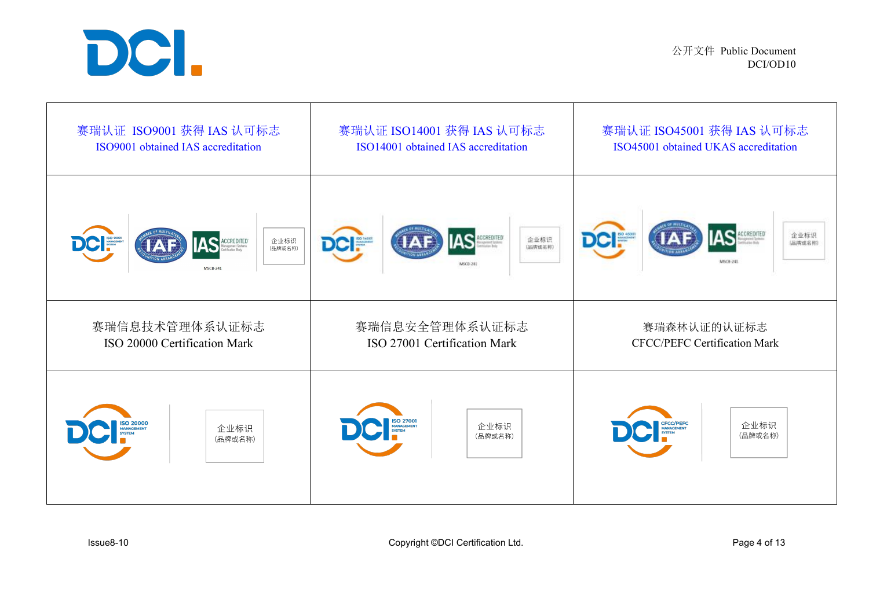

公开文件 Public Document DCI/OD10

| 赛瑞认证 ISO9001 获得 IAS 认可标志                                                                                               | 赛瑞认证 ISO14001 获得 IAS 认可标志                                | 赛瑞认证 ISO45001 获得 IAS 认可标志                               |
|------------------------------------------------------------------------------------------------------------------------|----------------------------------------------------------|---------------------------------------------------------|
| ISO9001 obtained IAS accreditation                                                                                     | ISO14001 obtained IAS accreditation                      | ISO45001 obtained UKAS accreditation                    |
| <b>IAS</b><br>企业标识<br><b>DCI:</b><br>CCREDITED<br>anagement Systems<br>artification Body<br>(品牌或名称)<br><b>MSCB-241</b> | <b>IAS</b><br><b>DCI:</b><br>企业标识<br>(品牌或名称)<br>MSC8-241 | <b>AS</b><br><b>DCI:</b><br>企业标识<br>(品牌或名称)<br>MSCB-241 |
| 赛瑞信息技术管理体系认证标志                                                                                                         | 赛瑞信息安全管理体系认证标志                                           | 赛瑞森林认证的认证标志                                             |
| ISO 20000 Certification Mark                                                                                           | ISO 27001 Certification Mark                             | <b>CFCC/PEFC Certification Mark</b>                     |
| ISO 20000                                                                                                              | ISO 27001                                                | CFCC/PEFC                                               |
| 企业标识                                                                                                                   | 企业标识                                                     | 企业标识                                                    |
| (品牌或名称)                                                                                                                | (品牌或名称)                                                  | (品牌或名称)                                                 |

Issue8-10 **Copyright ©DCI Certification Ltd.** Copyright ©DCI Certification Ltd.